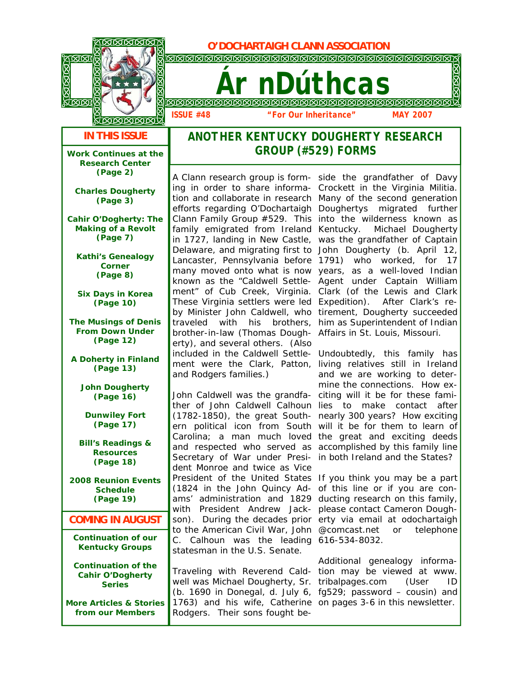**MELLET CONSTRUCTED BY DOCHARTAIGH CLANN ASSOCIATION** 



*Ár nDúthcas*

*ISSUE #48 "For Our Inheritance" MAY 2007*

**IN THIS ISSUE** 

**Work Continues at the Research Center (Page 2)** 

**Charles Dougherty (Page 3)** 

**Cahir O'Dogherty: The Making of a Revolt (Page 7)** 

**Kathi's Genealogy Corner (Page 8)** 

**Six Days in Korea (Page 10)** 

**The Musings of Denis From Down Under (Page 12)** 

**A Doherty in Finland (Page 13)** 

**John Dougherty (Page 16)** 

**Dunwiley Fort (Page 17)** 

**Bill's Readings & Resources (Page 18)** 

**2008 Reunion Events Schedule (Page 19)** 

**COMING IN AUGUST** 

**Continuation of our Kentucky Groups** 

**Continuation of the Cahir O'Dogherty Series** 

**More Articles & Stories from our Members** 

## *ANOTHER KENTUCKY DOUGHERTY RESEARCH GROUP (#529) FORMS*

A Clann research group is form- side the grandfather of Davy ing in order to share informa-Crockett in the Virginia Militia. tion and collaborate in research Many of the second generation efforts regarding O'Dochartaigh Doughertys migrated further Clann Family Group  $#529$ . This into the wilderness known as family emigrated from Ireland Kentucky. Michael Dougherty in 1727, landing in New Castle, was the grandfather of Captain Delaware, and migrating first to John Dougherty (b. April 12, Lancaster, Pennsylvania before 1791) who worked, for 17 many moved onto what is now years, as a well-loved Indian known as the "Caldwell Settle-Agent under Captain William ment" of Cub Creek, Virginia. Clark (of the Lewis and Clark These Virginia settlers were led Expedition). After Clark's reby Minister John Caldwell, who tirement, Dougherty succeeded traveled with his brothers, him as Superintendent of Indian brother-in-law (Thomas Dough-Affairs in St. Louis, Missouri. erty), and several others. (Also included in the Caldwell Settle-Undoubtedly, this family has ment were the Clark, Patton, living relatives still in Ireland and Rodgers families.)

John Caldwell was the grandfa-citing will it be for these famither of John Caldwell Calhoun lies to make contact after (1782-1850), the great South-nearly 300 years? How exciting ern political icon from South will it be for them to learn of Carolina; a man much loved the great and exciting deeds and respected who served as accomplished by this family line Secretary of War under Presi-in both Ireland and the States? dent Monroe and twice as Vice President of the United States If you think you may be a part (1824 in the John Quincy Ad-of this line or if you are conams' administration and 1829 ducting research on this family, with President Andrew Jack-please contact Cameron Doughson). During the decades prior erty via email at odochartaigh to the American Civil War, John @comcast.net or telephone C. Calhoun was the leading 616-534-8032. statesman in the U.S. Senate.

Traveling with Reverend Cald-tion may be viewed at www. well was Michael Dougherty, Sr. tribalpages.com (User ID (b. 1690 in Donegal, d. July 6, fg529; password – cousin) and 1763) and his wife, Catherine on pages 3-6 in this newsletter. Rodgers. Their sons fought be-

and we are working to determine the connections. How ex-

Additional genealogy informa-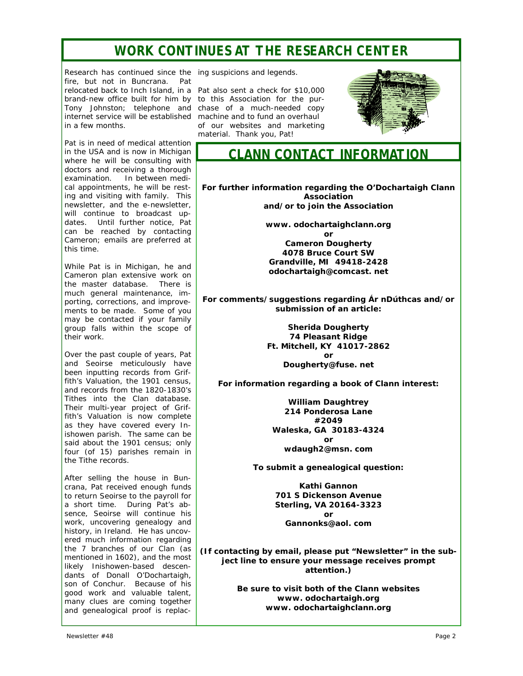## *WORK CONTINUES AT THE RESEARCH CENTER*

Research has continued since the ing suspicions and legends. fire, but not in Buncrana. Pat relocated back to Inch Island, in a Pat also sent a check for \$10,000 brand-new office built for him by to this Association for the pur-Tony Johnston; telephone and chase of a much-needed copy internet service will be established machine and to fund an overhaul in a few months.

Pat is in need of medical attention in the USA and is now in Michigan where he will be consulting with doctors and receiving a thorough examination. In between medical appointments, he will be resting and visiting with family. This newsletter, and the e-newsletter, will continue to broadcast updates. Until further notice, Pat can be reached by contacting Cameron; emails are preferred at this time.

While Pat is in Michigan, he and Cameron plan extensive work on the master database. There is much general maintenance, importing, corrections, and improvements to be made. Some of you may be contacted if your family group falls within the scope of their work.

Over the past couple of years, Pat and Seoirse meticulously have been inputting records from Griffith's Valuation, the 1901 census, and records from the 1820-1830's Tithes into the Clan database. Their multi-year project of Griffith's Valuation is now complete as they have covered every Inishowen parish. The same can be said about the 1901 census; only four (of 15) parishes remain in the Tithe records.

After selling the house in Buncrana, Pat received enough funds to return Seoirse to the payroll for a short time. During Pat's absence, Seoirse will continue his work, uncovering genealogy and history, in Ireland. He has uncovered much information regarding the 7 branches of our Clan (as mentioned in 1602), and the most likely Inishowen-based descendants of Donall O'Dochartaigh, son of Conchur. Because of his good work and valuable talent, many clues are coming together and genealogical proof is replac-

of our websites and marketing material. Thank you, Pat!



*CLANN CONTACT INFORMATION* 

**For further information regarding the O'Dochartaigh Clann Association and/or to join the Association** 

> **www. odochartaighclann.org or Cameron Dougherty 4078 Bruce Court SW Grandville, MI 49418-2428 odochartaigh@comcast. net**

**For comments/suggestions regarding** *Ár nDúthcas* **and/or submission of an article:** 

> **Sherida Dougherty 74 Pleasant Ridge Ft. Mitchell, KY 41017-2862 or Dougherty@fuse. net**

**For information regarding a book of Clann interest:** 

**William Daughtrey 214 Ponderosa Lane #2049 Waleska, GA 30183-4324 or wdaugh2@msn. com** 

**To submit a genealogical question:** 

**Kathi Gannon 701 S Dickenson Avenue Sterling, VA 20164-3323 or Gannonks@aol. com** 

**(If contacting by email, please put "Newsletter" in the subject line to ensure your message receives prompt attention.)** 

> **Be sure to visit both of the Clann websites www. odochartaigh.org www. odochartaighclann.org**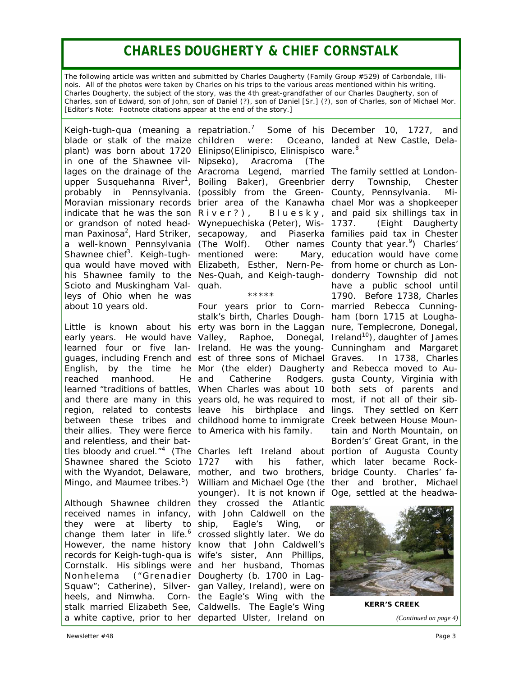# *CHARLES DOUGHERTY & CHIEF CORNSTALK*

*The following article was written and submitted by Charles Daugherty (Family Group #529) of Carbondale, Illinois. All of the photos were taken by Charles on his trips to the various areas mentioned within his writing. Charles Dougherty, the subject of the story, was the 4th great-grandfather of our Charles Daugherty, son of Charles, son of Edward, son of John, son of Daniel (?), son of Daniel [Sr.] (?), son of Charles, son of Michael Mor. [Editor's Note: Footnote citations appear at the end of the story.]* 

Keigh-tugh-qua (meaning a repatriation. $<sup>7</sup>$ </sup> blade or stalk of the maize children indicate that he was the son  $R$ iver?), Scioto and Muskingham Val- quah. leys of Ohio when he was about 10 years old.

early years. He would have learned four or five lanreached manhood. He their allies. They were fierce to America with his family. and relentless, and their bat-Shawnee shared the Scioto 1727

Although Shawnee children they crossed the Atlantic received names in infancy, with John Caldwell on the they were at liberty to change them later in life. $^6$  crossed slightly later. We do However, the name history know that John Caldwell's records for Keigh-tugh-qua is wife's sister, Ann Phillips, Cornstalk. His siblings were and her husband, Thomas Nonhelema ("Grenadier Dougherty (b. 1700 in Lag-Squaw"; Catherine), Silver-gan Valley, Ireland), were on heels, and Nimwha. Corn-the *Eagle's Wing* with the stalk married Elizabeth See, Caldwells. The *Eagle's Wing* a white captive, prior to her departed Ulster, Ireland on

plant) was born about 1720 Elinipso(Elinipisco, Elinispisco ware.<sup>8</sup> in one of the Shawnee vil-Nipseko), Aracroma (The lages on the drainage of the Aracroma Legend, married The family settled at Londonupper Susquehanna River<sup>1</sup>, Boiling Baker), Greenbrier probably in Pennsylvania. (possibly from the Green-County, Pennsylvania. Mi-Moravian missionary records brier area of the Kanawha chael Mor was a shopkeeper or grandson of noted head-Wynepuechiska (Peter), Wisman Paxinosa<sup>2</sup>, Hard Striker, secapoway, and Piaserka families paid tax in Chester a well-known Pennsylvania (The Wolf). Other names County that year.<sup>9</sup>) Charles' Shawnee chief<sup>3</sup>. Keigh-tugh- mentioned were: Mary, qua would have moved with Elizabeth, Esther, Nern-Pe-from home or church as Lonhis Shawnee family to the Nes-Quah, and Keigh-taugh-donderry Township did not children were: Oceano, landed at New Castle, Dela-River?), Bluesky, and paid six shillings tax in

\*\*\*\*\*

Little is known about his erty was born in the Laggan nure, Templecrone, Donegal, guages, including French and est of three sons of Michael Graves. In 1738, Charles English, by the time he Mor (the elder) Daugherty and Rebecca moved to Aulearned "traditions of battles, When Charles was about 10 both sets of parents and and there are many in this years old, he was required to most, if not all of their sibregion, related to contests leave his birthplace and lings. They settled on Kerr between these tribes and childhood home to immigrate Creek between House Moun-Four years prior to Corn-married Rebecca Cunningstalk's birth, Charles Dough-ham (born 1715 at Lougha-Valley, Raphoe, Donegal, Ireland. He was the youngand Catherine Rodgers. gusta County, Virginia with

tles bloody and cruel."<sup>4</sup> (The Charles left Ireland about portion of Augusta County with the Wyandot, Delaware, mother, and two brothers, bridge County. Charles' fa-Mingo, and Maumee tribes.<sup>5</sup>) William and Michael Oge (the ther and brother, Michael 1727 with his father, which later became Rockyounger). It is not known if Oge, settled at the headwa- Eagle's *Wing*, or

Some of his December 10, 1727, and

Township, Chester (Eight Daugherty Mary, education would have come have a public school until 1790. Before 1738, Charles Ireland<sup>10</sup>), daughter of James Cunningham and Margaret tain and North Mountain, on Borden's' Great Grant, in the



**KERR'S CREEK** 

*(Continued on page 4)*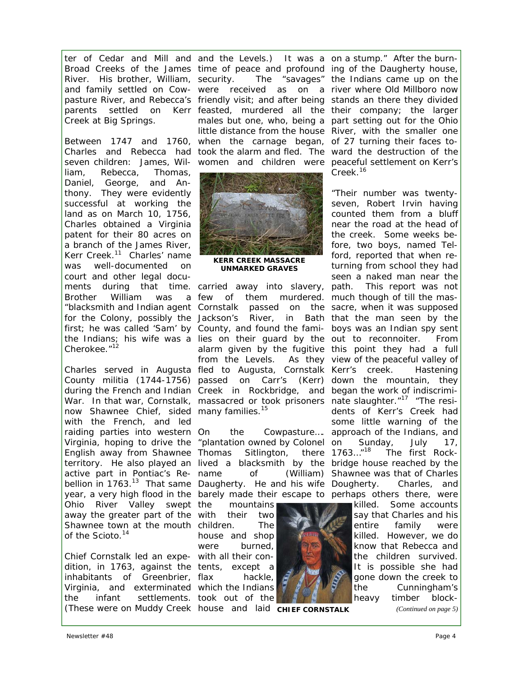Creek at Big Springs.

seven children: James, Wil-women and children were peaceful settlement on Kerr's liam, Rebecca, Thomas, Daniel, George, and Anthony. They were evidently successful at working the land as on March 10, 1756, Charles obtained a Virginia patent for their 80 acres on a branch of the James River, Kerr Creek.<sup>11</sup> Charles' name was well-documented on court and other legal docu-Brother William was Cherokee."<sup>12</sup>

now Shawnee Chief, sided many families.<sup>15</sup> with the French, and led raiding parties into western On Virginia, hoping to drive the "plantation owned by Colonel English away from Shawnee Thomas Sitlington, there active part in Pontiac's Rebellion in 1763.<sup>13</sup> That same Daugherty. He and his wife year, a very high flood in the barely made their escape to perhaps others there, were Ohio River Valley swept the away the greater part of the with their two Shawnee town at the mouth children. The of the Scioto.<sup>14</sup>

Chief Cornstalk led an expe-with all their condition, in 1763, against the tents, except a inhabitants of Greenbrier, flax Virginia, and exterminated which the Indians the infant settlements. took out of the (These were on Muddy Creek house and laid **CHIEF CORNSTALK** (Continued on page 5)

ter of Cedar and Mill and and the Levels.) It was a on a stump." After the burn-Broad Creeks of the James time of peace and profound ing of the Daugherty house, River. His brother, William, security. The "savages" the Indians came up on the and family settled on Cow-were received as on a river where Old Millboro now pasture River, and Rebecca's friendly visit; and after being stands an there they divided parents settled on Kerr feasted, murdered all the their company; the larger Between 1747 and 1760, when the carnage began, of 27 turning their faces to-Charles and Rebecca had took the alarm and fled. The ward the destruction of the males but one, who, being a part setting out for the Ohio little distance from the house River, with the smaller one



**KERR CREEK MASSACRE UNMARKED GRAVES** 

ments during that time. carried away into slavery, path. This report was not "blacksmith and Indian agent Cornstalk passed on the sacre, when it was supposed for the Colony, possibly the Jackson's River, in Bath that the man seen by the first; he was called 'Sam' by County, and found the fami- boys was an Indian spy sent the Indians; his wife was a lies on their guard by the out to reconnoiter. From Charles served in Augusta fled to Augusta, Cornstalk Kerr's creek. Hastening County militia (1744-1756) passed on Carr's (Kerr) down the mountain, they during the French and Indian Creek in Rockbridge, and began the work of indiscrimi-War. In that war, Cornstalk, massacred or took prisoners nate slaughter."<sup>17</sup> "The resifew of them murdered. much though of till the masalarm given by the fugitive this point they had a full from the Levels. As they view of the peaceful valley of

territory. He also played an lived a blacksmith by the bridge house reached by the On the Cowpasture…. approach of the Indians, and name of (William) Shawnee was that of Charles

> mountains house and shop were burned, hackle,

 $C$ reek<sup>16</sup>

"Their number was twentyseven, Robert Irvin having counted them from a bluff near the road at the head of the creek. Some weeks before, two boys, named Telford, reported that when returning from school they had seen a naked man near the dents of Kerr's Creek had some little warning of the Sunday, July 17, The first Rock-Charles, and



killed. Some accounts say that Charles and his entire family were killed. However, we do know that Rebecca and the children survived. It is possible she had gone down the creek to the Cunningham's heavy timber block-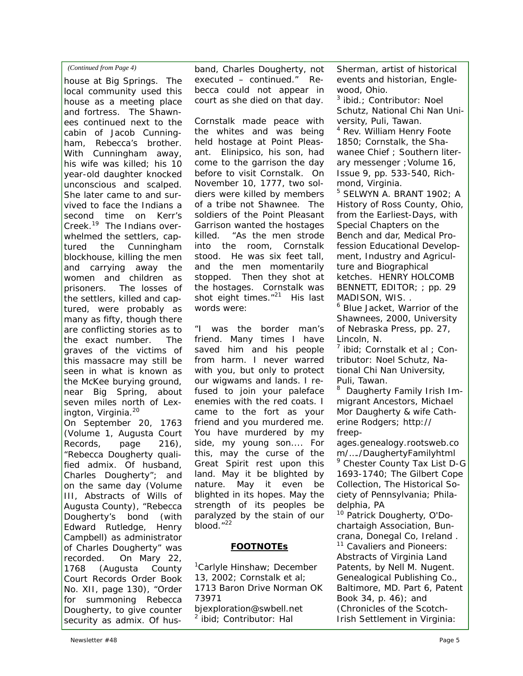## *(Continued from Page 4)*

house at Big Springs. The local community used this house as a meeting place and fortress. The Shawnees continued next to the cabin of Jacob Cunningham, Rebecca's brother. With Cunningham away, his wife was killed; his 10 year-old daughter knocked unconscious and scalped. She later came to and survived to face the Indians a second time on Kerr's Creek.<sup>19</sup> The Indians overwhelmed the settlers, captured the Cunningham blockhouse, killing the men and carrying away the women and children as prisoners. The losses of the settlers, killed and captured, were probably as many as fifty, though there are conflicting stories as to the exact number. The graves of the victims of this massacre may still be seen in what is known as the McKee burying ground, near Big Spring, about seven miles north of Lexington, Virginia.<sup>20</sup> On September 20, 1763 (Volume 1, Augusta Court Records, page 216), "Rebecca Dougherty qualified admix. Of husband, Charles Dougherty"; and on the same day (Volume III, Abstracts of Wills of Augusta County), "Rebecca Dougherty's bond (with Edward Rutledge, Henry Campbell) as administrator of Charles Dougherty" was

recorded. On Mary 22, 1768 (Augusta County Court Records Order Book No. XII, page 130), "Order for summoning Rebecca Dougherty, to give counter security as admix. Of husband, Charles Dougherty, not executed – continued." Rebecca could not appear in court as she died on that day.

Cornstalk made peace with the whites and was being held hostage at Point Pleasant. Elinipsico, his son, had come to the garrison the day before to visit Cornstalk. On November 10, 1777, two soldiers were killed by members of a tribe not Shawnee. The soldiers of the Point Pleasant Garrison wanted the hostages killed. "As the men strode into the room, Cornstalk stood. He was six feet tall, and the men momentarily stopped. Then they shot at the hostages. Cornstalk was shot eight times."<sup>21</sup> His last words were:

*"I was the border man's friend. Many times I have saved him and his people from harm. I never warred with you, but only to protect our wigwams and lands. I refused to join your paleface enemies with the red coats. I came to the fort as your friend and you murdered me. You have murdered by my side, my young son.... For this, may the curse of the Great Spirit rest upon this land. May it be blighted by nature. May it even be blighted in its hopes. May the strength of its peoples be paralyzed by the stain of our blood."*<sup>22</sup>

## *FOOTNOTEs*

<sup>1</sup>Carlyle Hinshaw; December 13, 2002; *Cornstalk et al;* 1713 Baron Drive Norman OK 73971 bjexploration@swbell.net ibid; Contributor: Hal

Sherman, artist of historical events and historian, Englewood, Ohio.

<sup>3</sup> *ibid.*; Contributor: Noel Schutz, National Chi Nan University, Puli, Tawan.

4 Rev. William Henry Foote 1850; *Cornstalk, the Shawanee Chief ;* Southern literary messenger ;Volume 16, Issue 9, pp. 533-540, Richmond, Virginia.

5 SELWYN A. BRANT 1902; *A History of Ross County, Ohio*, from the Earliest-Days, with Special Chapters on the Bench and dar, Medical Profession Educational Development, Industry and Agriculture and Biographical ketches. HENRY HOLCOMB BENNETT, EDITOR; ; pp. 29 MADISON, WIS. .

<sup>6</sup> *Blue Jacket, Warrior of the Shawnees*, 2000, University of Nebraska Press, pp. 27, Lincoln, N.

<sup>7</sup> *ibid; Cornstalk et al* ; Contributor: Noel Schutz, National Chi Nan University, Puli, Tawan.

8 *Daugherty Family Irish Immigrant Ancestors, Michael Mor Daugherty & wife Catherine Rodgers*; http:// freep-

ages.genealogy.rootsweb.co m/…./DaughertyFamilyhtml <sup>9</sup> *Chester County Tax List D-G 1693-1740;* The Gilbert Cope Collection, The Historical Society of Pennsylvania; Philadelphia, PA

<sup>10</sup> Patrick Dougherty, O'Dochartaigh Association, Buncrana, Donegal Co, Ireland . <sup>11</sup> *Cavaliers and Pioneers: Abstracts of Virginia Land Patents*, by Nell M. Nugent. Genealogical Publishing Co., Baltimore, MD. Part 6, Patent Book 34, p. 46); and (*Chronicles of the Scotch-Irish Settlement in Virginia:*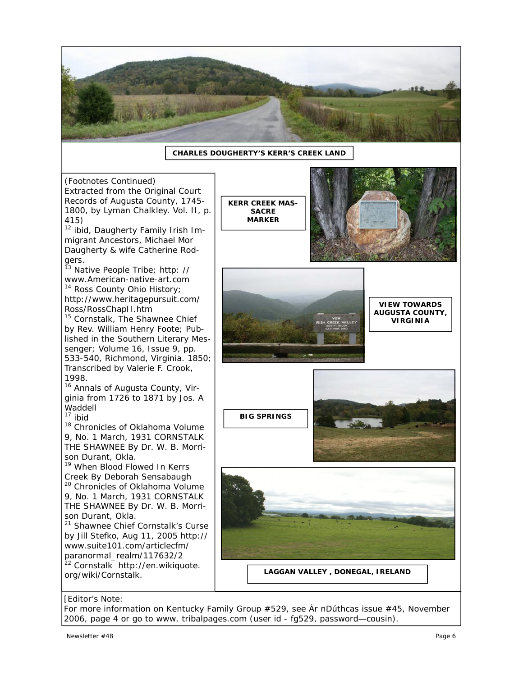

## **CHARLES DOUGHERTY'S KERR'S CREEK LAND**

*(Footnotes Continued) Extracted from the Original Court Records of Augusta County, 1745- 1800*, by Lyman Chalkley. Vol. II, p. 415)

<sup>12</sup> *ibid, Daugherty Family Irish Immigrant Ancestors, Michael Mor Daugherty & wife Catherine Rodgers.*

<sup>13</sup> *Native People Tribe*; http: // www.American-native-art.com <sup>14</sup> *Ross County Ohio History*; http://www.heritagepursuit.com/

Ross/RossChapII.htm <sup>15</sup> *Cornstalk, The Shawnee Chief*  by Rev. William Henry Foote; Published in the Southern Literary Messenger; Volume 16, Issue 9, pp. 533-540, Richmond, Virginia. 1850; Transcribed by Valerie F. Crook, 1998.

<sup>16</sup> *Annals of Augusta County, Virginia from 1726 to 1871* by Jos. A Waddell<br><sup>17</sup> ibid

<sup>18</sup> *Chronicles of Oklahoma* Volume 9, No. 1 March, 1931 CORNSTALK THE SHAWNEE By Dr. W. B. Morrison Durant, Okla.

<sup>19</sup> When Blood Flowed In Kerrs Creek By Deborah Sensabaugh

<sup>20</sup> *Chronicles of Oklahoma* Volume 9, No. 1 March, 1931 CORNSTALK THE SHAWNEE By Dr. W. B. Morrison Durant, Okla.

<sup>21</sup> *Shawnee Chief Cornstalk's Curse by Jill Stefko, Aug 11, 2005* http:// www.suite101.com/articlecfm/ paranormal\_realm/117632/2 <sup>22</sup> *Cornstalk* http://en.wikiquote. org/wiki/Cornstalk.

**KERR CREEK MAS-SACRE MARKER** 





**VIEW TOWARDS AUGUSTA COUNTY, VIRGINIA** 





**LAGGAN VALLEY , DONEGAL, IRELAND** 

## *[Editor's Note:*

*For more information on Kentucky Family Group #529, see Ár nDúthcas issue #45, November 2006, page 4 or go to www. tribalpages.com (user id - fg529, password—cousin).*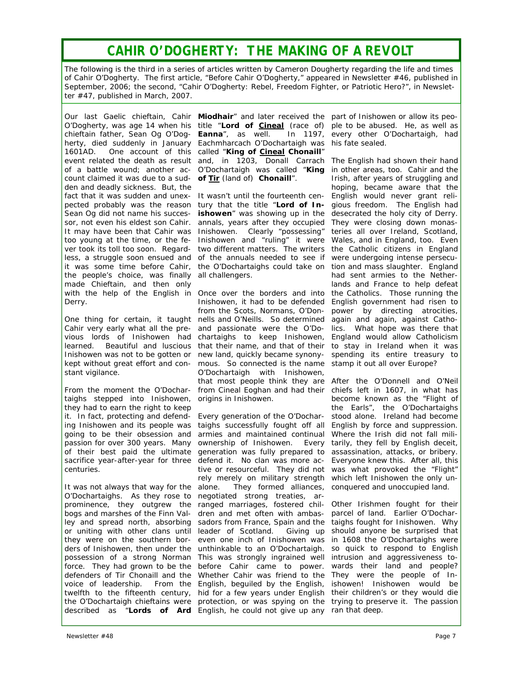## *CAHIR O'DOGHERTY: THE MAKING OF A REVOLT*

*The following is the third in a series of articles written by Cameron Dougherty regarding the life and times of Cahir O'Dogherty. The first article, "Before Cahir O'Dogherty," appeared in Newsletter #46, published in September, 2006; the second, "Cahir O'Dogherty: Rebel, Freedom Fighter, or Patriotic Hero?", in Newsletter #47, published in March, 2007.* 

1601AD. One account of this called "**King of Cineal Chonaill**" count claimed it was due to a sud-**of Tir** *(land of)* **Chonaill**". den and deadly sickness. But, the fact that it was sudden and unex- It wasn't until the fourteenth centhe people's choice, was finally all challengers. made Chieftain, and then only Derry.

stant vigilance.

taighs stepped into Inishowen, origins in Inishowen. they had to earn the right to keep centuries.

It was not always that way for the alone. O'Dochartaighs. As they rose to prominence, they outgrew the bogs and marshes of the Finn Val- dren and met often with ambas- parcel of land. Earlier O'Docharley and spread north, absorbing sadors from France, Spain and the taighs fought for Inishowen. Why or uniting with other clans until leader of Scotland. Giving up should anyone be surprised that they were on the southern bor- even one inch of Inishowen was in 1608 the O'Dochartaighs were ders of Inishowen, then under the unthinkable to an O'Dochartaigh. so quick to respond to English possession of a strong Norman This was strongly ingrained well intrusion and aggressiveness toforce. They had grown to be the before Cahir came to power. wards their land and people? defenders of Tir Chonaill and the Whether Cahir was friend to the They were the people of Invoice of leadership. From the English, beguiled by the English, ishowen! Inishowen would be twelfth to the fifteenth century, hid for a few years under English their children's or they would die the O'Dochartaigh chieftains were protection, or was spying on the trying to preserve it. The passion described as "**Lords of Ard**  English, he could not give up any ran that deep.

Our last Gaelic chieftain, Cahir Miodhair" and later received the part of Inishowen or allow its peo-O'Dogherty, was age 14 when his title "Lord of Cineal (race of) ple to be abused. He, as well as chieftain father, Sean Og O'Dog-**Eanna**", as well. In 1197, every other O'Dochartaigh, had herty, died suddenly in January Eachmharcach O'Dochartaigh was his fate sealed. event related the death as result and, in 1203, Donall Carrach The English had shown their hand of a battle wound; another ac-O'Dochartaigh was called "**King**  in other areas, too. Cahir and the

pected probably was the reason tury that the title "Lord of In- gious freedom. The English had Sean Og did not name his succes- **ishowen**" was showing up in the desecrated the holy city of Derry. sor, not even his eldest son Cahir. annals, years after they occupied They were closing down monas-It may have been that Cahir was Inishowen. Clearly "possessing" teries all over Ireland, Scotland, too young at the time, or the fe- Inishowen and "ruling" it were Wales, and in England, too. Even ver took its toll too soon. Regard- two different matters. The writers the Catholic citizens in England less, a struggle soon ensued and of the annuals needed to see if were undergoing intense persecuit was some time before Cahir, the O'Dochartaighs could take on tion and mass slaughter. England

with the help of the English in Once over the borders and into the Catholics. Those running the One thing for certain, it taught nells and O'Neills. So determined again and again, against Catho-Cahir very early what all the pre- and passionate were the O'Do- lics. What hope was there that vious lords of Inishowen had chartaighs to keep Inishowen, England would allow Catholicism learned. Beautiful and luscious that their name, and that of their to stay in Ireland when it was Inishowen was not to be gotten or new land, quickly became synony- spending its entire treasury to kept without great effort and con-mous. So connected is the name stamp it out all over Europe? From the moment the O'Dochar- from Cineal Eoghan and had their chiefs left in 1607, in what has Inishowen, it had to be defended English government had risen to from the Scots, Normans, O'Don-O'Dochartaigh with Inishowen, that most people think they are After the O'Donnell and O'Neil

it. In fact, protecting and defend-Every generation of the O'Dochar-stood alone. Ireland had become ing Inishowen and its people was taighs successfully fought off all English by force and suppression. going to be their obsession and armies and maintained continual Where the Irish did not fall milipassion for over 300 years. Many ownership of Inishowen. Every tarily, they fell by English deceit, of their best paid the ultimate generation was fully prepared to assassination, attacks, or bribery. sacrifice year-after-year for three defend it. No clan was more ac- Everyone knew this. After all, this tive or resourceful. They did not was what provoked the "Flight" rely merely on military strength which left Inishowen the only unalone. They formed alliances, conquered and unoccupied land. negotiated strong treaties, arranged marriages, fostered chil-Other Irishmen fought for their

Irish, after years of struggling and hoping, became aware that the English would never grant relihad sent armies to the Netherlands and France to help defeat power by directing atrocities,

become known as the "Flight of the Earls", the O'Dochartaighs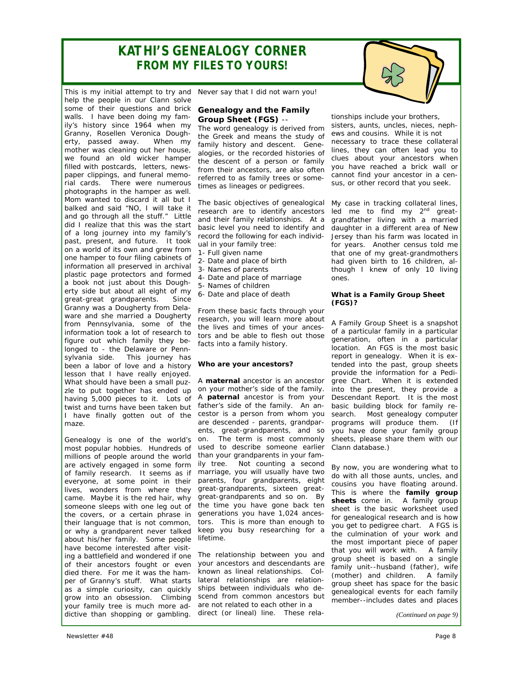## *KATHI'S GENEALOGY CORNER FROM MY FILES TO YOURS!*



Genealogy is one of the world's most popular hobbies. Hundreds of millions of people around the world are actively engaged in some form of family research. It seems as if everyone, at some point in their lives, wonders from where they came. Maybe it is the red hair, why someone sleeps with one leg out of the covers, or a certain phrase in their language that is not common, or why a grandparent never talked about his/her family. Some people have become interested after visiting a battlefield and wondered if one of their ancestors fought or even died there. For me it was the hamper of Granny's stuff. What starts as a simple curiosity, can quickly grow into an obsession. Climbing your family tree is much more addictive than shopping or gambling.

#### **Genealogy and the Family Group Sheet (FGS)** --

The word genealogy is derived from the Greek and means the study of family history and descent. Genealogies, or the recorded histories of the descent of a person or family from their ancestors, are also often referred to as family trees or sometimes as lineages or pedigrees.

The basic objectives of genealogical research are to identify ancestors and their family relationships. At a basic level you need to identify and record the following for each individual in your family tree:

- 1- Full given name
- 2- Date and place of birth
- 3- Names of parents
- 4- Date and place of marriage
- 5- Names of children
- 6- Date and place of death

From these basic facts through your research, you will learn more about the lives and times of your ancestors and be able to flesh out those facts into a family history.

## *Who are your ancestors?*

A **maternal** ancestor is an ancestor on your mother's side of the family. A **paternal** ancestor is from your father's side of the family. An ancestor is a person from whom you are descended - parents, grandparents, great-grandparents, and so on. The term is most commonly used to describe someone earlier than your grandparents in your family tree. Not counting a second marriage, you will usually have two parents, four grandparents, eight great-grandparents, sixteen greatgreat-grandparents and so on. By the time you have gone back ten generations you have 1,024 ancestors. This is more than enough to keep you busy researching for a lifetime.

The relationship between you and your ancestors and descendants are known as *lineal* relationships. *Collateral* relationships are relationships between individuals who descend from common ancestors but are not related to each other in a direct (or lineal) line. These rela-

tionships include your brothers, sisters, aunts, uncles, nieces, nephews and cousins. While it is not necessary to trace these collateral lines, they can often lead you to clues about your ancestors when you have reached a brick wall or cannot find your ancestor in a census, or other record that you seek.

My case in tracking collateral lines, led me to find  $my$   $2<sup>nd</sup>$  greatgrandfather living with a married daughter in a different area of New Jersey than his farm was located in for years. Another census told me that one of my great-grandmothers had given birth to 16 children, although I knew of only 10 living ones.

### *What is a Family Group Sheet (FGS)?*

A Family Group Sheet is a snapshot of a particular family in a particular generation, often in a particular location. An FGS is the most basic report in genealogy. When it is extended into the past, group sheets provide the information for a Pedigree Chart. When it is extended into the present, they provide a Descendant Report. It is the most basic building block for family research. Most genealogy computer programs will produce them. (If you have done your family group sheets, please share them with our Clann database.)

By now, you are wondering what to do with all those aunts, uncles, and cousins you have floating around. This is where the **family group sheets** come in. A family group sheet is the basic worksheet used for genealogical research and is how you get to pedigree chart. A FGS is the culmination of your work and the most important piece of paper that you will work with. A family group sheet is based on a single family unit--husband (father), wife (mother) and children. A family group sheet has space for the basic genealogical events for each family member--includes dates and places

*(Continued on page 9)*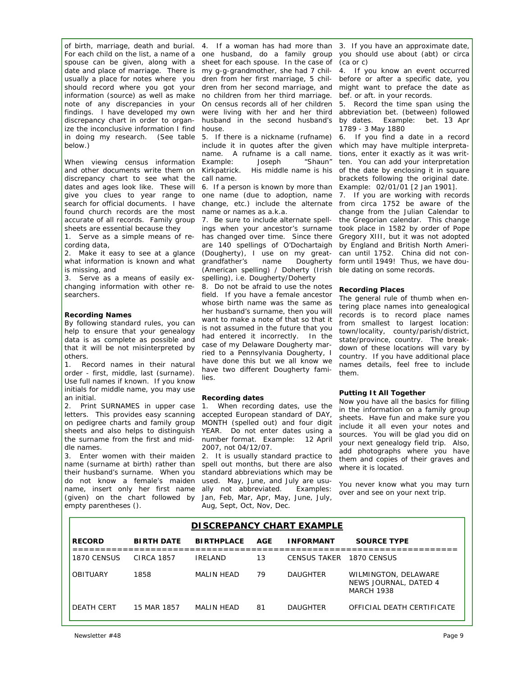of birth, marriage, death and burial. 4. If a woman has had more than 3. If you have an approximate date, For each child on the list, a name of a spouse can be given, along with a date and place of marriage. There is usually a place for notes where you should record where you got your information (source) as well as make note of any discrepancies in your findings. I have developed my own discrepancy chart in order to organize the inconclusive information I find in doing my research. *(See table below.)* 

When viewing census information and other documents write them on discrepancy chart to see what the dates and ages look like. These will give you clues to year range to search for official documents. I have found church records are the most accurate of all records. Family group sheets are essential because they

1. Serve as a simple means of recording data,

2. Make it easy to see at a glance what information is known and what is missing, and

3. Serve as a means of easily exchanging information with other researchers.

### *Recording Names*

By following standard rules, you can help to ensure that your genealogy data is as complete as possible and that it will be not misinterpreted by others.

1. Record names in their natural order - first, middle, last (surname). Use full names if known. If you know initials for middle name, you may use an initial.

2. Print SURNAMES in upper case letters. This provides easy scanning on pedigree charts and family group sheets and also helps to distinguish the surname from the first and middle names.

3. Enter women with their maiden name (surname at birth) rather than their husband's surname. When you do not know a female's maiden name, insert only her first name (given) on the chart followed by empty parentheses ().

one husband, do a family group sheet for each spouse. In the case of my g-g-grandmother, she had 7 children from her first marriage, 5 children from her second marriage, and no children from her third marriage. On census records all of her children were living with her and her third husband in the second husband's house.

5. If there is a nickname (rufname) include it in quotes after the given name. A rufname is a call name. Example: Joseph "Shaun" Kirkpatrick. His middle name is his call name.

6. If a person is known by more than one name (due to adoption, name change, etc.) include the alternate from circa 1752 be aware of the name or names as a.k.a.

7. Be sure to include alternate spellings when your ancestor's surname has changed over time. Since there are 140 spellings of O'Dochartaigh (Dougherty), I use on my great-<br>grandfather's name Dougherty grandfather's name (American spelling) / Doherty (Irish spelling), i.e. Dougherty/Doherty

8. Do not be afraid to use the notes field. If you have a female ancestor whose birth name was the same as her husband's surname, then you will want to make a note of that so that it is not assumed in the future that you had entered it incorrectly. In the case of my Delaware Dougherty married to a Pennsylvania Dougherty, I have done this but we all know we have two different Dougherty families.

#### *Recording dates*

1. When recording dates, use the accepted European standard of DAY, MONTH (spelled out) and four digit YEAR. Do not enter dates using a number format. Example: 12 April 2007, not 04/12/07.

2. It is usually standard practice to spell out months, but there are also standard abbreviations which may be used. May, June, and July are usually not abbreviated. Examples: Jan, Feb, Mar, Apr, May, June, July, Aug, Sept, Oct, Nov, Dec.

you should use about (abt) or circa (ca or c)

4. If you know an event occurred before or after a specific date, you might want to preface the date as bef. or aft. in your records.

5. Record the time span using the abbreviation bet. (between) followed by dates. Example: bet. 13 Apr 1789 - 3 May 1880

6. If you find a date in a record which may have multiple interpretations, enter it exactly as it was written. You can add your interpretation of the date by enclosing it in square brackets following the original date. Example: 02/01/01 [2 Jan 1901].

7. If you are working with records change from the Julian Calendar to the Gregorian calendar. This change took place in 1582 by order of Pope Gregory XIII, but it was not adopted by England and British North American until 1752. China did not conform until 1949! Thus, we have double dating on some records.

### *Recording Places*

The general rule of thumb when entering place names into genealogical records is to record place names from smallest to largest location: town/locality, county/parish/district, state/province, country. The breakdown of these locations will vary by country. If you have additional place names details, feel free to include them.

#### *Putting It All Together*

Now you have all the basics for filling in the information on a family group sheets. Have fun and make sure you include it all even your notes and sources. You will be glad you did on your next genealogy field trip. Also, add photographs where you have them and copies of their graves and where it is located.

You never know what you may turn over and see on your next trip.

| DI SCREPANCY CHART EXAMPLE |                   |                   |     |                          |                                                                    |
|----------------------------|-------------------|-------------------|-----|--------------------------|--------------------------------------------------------------------|
| <b>RECORD</b>              | <b>BIRTH DATE</b> | <b>BIRTHPLACE</b> | AGE | <b>INFORMANT</b>         | <b>SOURCE TYPE</b>                                                 |
| 1870 CENSUS                | CIRCA 1857        | <b>IRELAND</b>    | 13  | CENSUS TAKER 1870 CENSUS |                                                                    |
| <b>OBITUARY</b>            | 1858              | MALIN HEAD        | 79  | <b>DAUGHTER</b>          | WILMINGTON, DELAWARE<br>NEWS JOURNAL, DATED 4<br><b>MARCH 1938</b> |
| DEATH CERT                 | 15 MAR 1857       | MALIN HEAD        | 81  | <b>DAUGHTER</b>          | OFFICIAL DEATH CERTIFICATE                                         |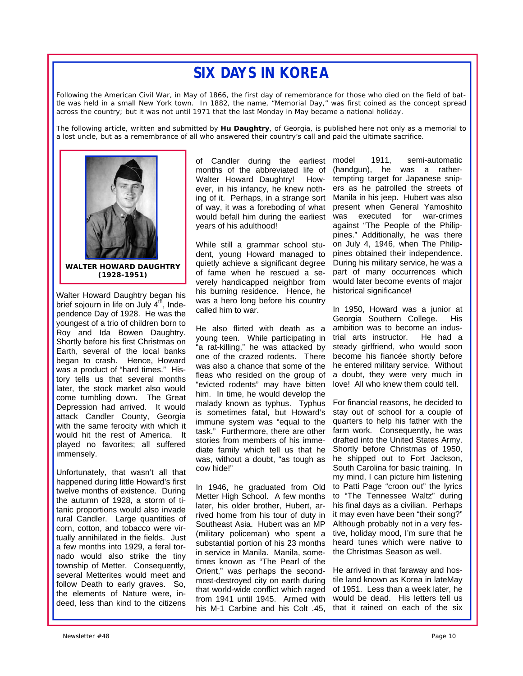# *SIX DAYS IN KOREA*

*Following the American Civil War, in May of 1866, the first day of remembrance for those who died on the field of battle was held in a small New York town. In 1882, the name, "Memorial Day," was first coined as the concept spread across the country; but it was not until 1971 that the last Monday in May became a national holiday.* 

*The following article, written and submitted by Hu Daughtry, of Georgia, is published here not only as a memorial to a lost uncle, but as a remembrance of all who answered their country's call and paid the ultimate sacrifice.* 



**WALTER HOWARD DAUGHTRY (1928-1951)** 

Walter Howard Daughtry began his brief sojourn in life on July  $4<sup>th</sup>$ , Independence Day of 1928. He was the youngest of a trio of children born to Roy and Ida Bowen Daughtry. Shortly before his first Christmas on Earth, several of the local banks began to crash. Hence, Howard was a product of "hard times." History tells us that several months later, the stock market also would come tumbling down. The Great Depression had arrived. It would attack Candler County, Georgia with the same ferocity with which it would hit the rest of America. It played no favorites; all suffered immensely.

Unfortunately, that wasn't all that happened during little Howard's first twelve months of existence. During the autumn of 1928, a storm of titanic proportions would also invade rural Candler. Large quantities of corn, cotton, and tobacco were virtually annihilated in the fields. Just a few months into 1929, a feral tornado would also strike the tiny township of Metter. Consequently, several Metterites would meet and follow Death to early graves. So, the elements of Nature were, indeed, less than kind to the citizens

ing of it. Perhaps, in a strange sort Manila in his jeep. Hubert was also of Candler during the earliest model months of the abbreviated life of Walter Howard Daughtry! However, in his infancy, he knew nothof way, it was a foreboding of what would befall him during the earliest years of his adulthood!

While still a grammar school student, young Howard managed to quietly achieve a significant degree of fame when he rescued a severely handicapped neighbor from his burning residence. Hence, he was a hero long before his country called him to war.

He also flirted with death as a young teen. While participating in "a rat-killing," he was attacked by one of the crazed rodents. There was also a chance that some of the fleas who resided on the group of "evicted rodents" may have bitten him. In time, he would develop the malady known as typhus. Typhus is sometimes fatal, but Howard's immune system was "equal to the task." Furthermore, there are other stories from members of his immediate family which tell us that he was, without a doubt, "as tough as cow hide!"

In 1946, he graduated from Old Metter High School. A few months later, his older brother, Hubert, arrived home from his tour of duty in Southeast Asia. Hubert was an MP (military policeman) who spent a substantial portion of his 23 months in service in Manila. Manila, sometimes known as "The Pearl of the Orient," was perhaps the secondmost-destroyed city on earth during that world-wide conflict which raged from 1941 until 1945. Armed with his M-1 Carbine and his Colt .45,

1911, semi-automatic (handgun), he was a rathertempting target for Japanese snipers as he patrolled the streets of present when General Yamoshito was executed for war-crimes against "The People of the Philippines." Additionally, he was there on July 4, 1946, when The Philippines obtained their independence. During his military service, he was a part of many occurrences which would later become events of major historical significance!

In 1950, Howard was a junior at Georgia Southern College. His ambition was to become an industrial arts instructor. He had a steady girlfriend, who would soon become his fiancée shortly before he entered military service. Without a doubt, they were very much in love! All who knew them could tell.

For financial reasons, he decided to stay out of school for a couple of quarters to help his father with the farm work. Consequently, he was drafted into the United States Army. Shortly before Christmas of 1950, he shipped out to Fort Jackson, South Carolina for basic training. In my mind, I can picture him listening to Patti Page "croon out" the lyrics to "The Tennessee Waltz" during his final days as a civilian. Perhaps it may even have been "their song?" Although probably not in a very festive, holiday mood, I'm sure that he heard tunes which were native to the Christmas Season as well.

He arrived in that faraway and hostile land known as Korea in lateMay of 1951. Less than a week later, he would be dead. His letters tell us that it rained on each of the six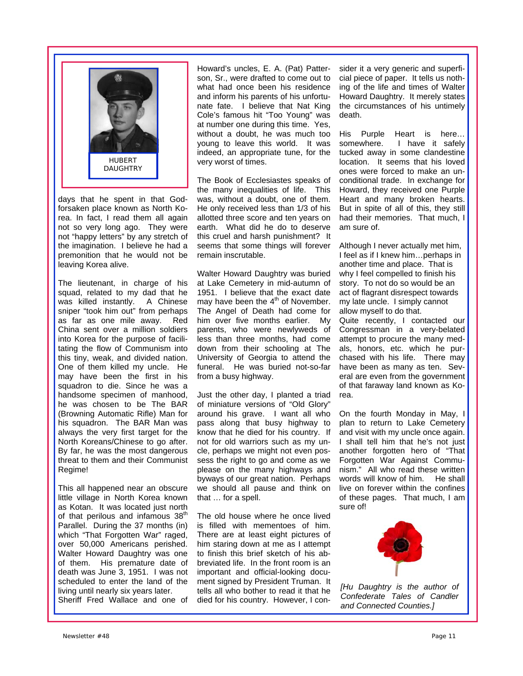

days that he spent in that Godforsaken place known as North Korea. In fact, I read them all again not so very long ago. They were not "happy letters" by any stretch of the imagination. I believe he had a premonition that he would not be leaving Korea alive.

The lieutenant, in charge of his squad, related to my dad that he was killed instantly. A Chinese sniper "took him out" from perhaps as far as one mile away. Red China sent over a million soldiers into Korea for the purpose of facilitating the flow of Communism into this tiny, weak, and divided nation. One of them killed my uncle. He may have been the first in his squadron to die. Since he was a handsome specimen of manhood, he was chosen to be The BAR (Browning Automatic Rifle) Man for his squadron. The BAR Man was always the very first target for the North Koreans/Chinese to go after. By far, he was the most dangerous threat to them and their Communist Regime!

This all happened near an obscure little village in North Korea known as Kotan. It was located just north of that perilous and infamous 38<sup>th</sup> Parallel. During the 37 months (in) which "That Forgotten War" raged, over 50,000 Americans perished. Walter Howard Daughtry was one of them. His premature date of death was June 3, 1951. I was not scheduled to enter the land of the living until nearly six years later. Sheriff Fred Wallace and one of Howard's uncles, E. A. (Pat) Patterson, Sr., were drafted to come out to what had once been his residence and inform his parents of his unfortunate fate. I believe that Nat King Cole's famous hit "Too Young" was at number one during this time. Yes, without a doubt, he was much too young to leave this world. It was indeed, an appropriate tune, for the very worst of times.

The Book of Ecclesiastes speaks of the many inequalities of life. This was, without a doubt, one of them. He only received less than 1/3 of his allotted three score and ten years on earth. What did he do to deserve this cruel and harsh punishment? It seems that some things will forever remain inscrutable.

Walter Howard Daughtry was buried at Lake Cemetery in mid-autumn of 1951. I believe that the exact date may have been the  $4<sup>th</sup>$  of November. The Angel of Death had come for him over five months earlier. My parents, who were newlyweds of less than three months, had come down from their schooling at The University of Georgia to attend the funeral. He was buried not-so-far from a busy highway.

Just the other day, I planted a triad of miniature versions of "Old Glory" around his grave. I want all who pass along that busy highway to know that he died for his country. If not for old warriors such as my uncle, perhaps we might not even possess the right to go and come as we please on the many highways and byways of our great nation. Perhaps we should all pause and think on that … for a spell.

The old house where he once lived is filled with mementoes of him. There are at least eight pictures of him staring down at me as I attempt to finish this brief sketch of his abbreviated life. In the front room is an important and official-looking document signed by President Truman. It tells all who bother to read it that he died for his country. However, I con-

sider it a very generic and superficial piece of paper. It tells us nothing of the life and times of Walter Howard Daughtry. It merely states the circumstances of his untimely death.

His Purple Heart is here… somewhere. I have it safely tucked away in some clandestine location. It seems that his loved ones were forced to make an unconditional trade. In exchange for Howard, they received one Purple Heart and many broken hearts. But in spite of all of this, they still had their memories. That much, I am sure of.

Although I never actually met him, I feel as if I knew him…perhaps in another time and place. That is why I feel compelled to finish his story. To not do so would be an act of flagrant disrespect towards my late uncle. I simply cannot allow myself to do that.

Quite recently, I contacted our Congressman in a very-belated attempt to procure the many medals, honors, etc. which he purchased with his life. There may have been as many as ten. Several are even from the government of that faraway land known as Korea.

On the fourth Monday in May, I plan to return to Lake Cemetery and visit with my uncle once again. I shall tell him that he's not just another forgotten hero of "That Forgotten War Against Communism." All who read these written<br>words will know of him He shall words will know of him. live on forever within the confines of these pages. That much, I am sure of!



*[Hu Daughtry is the author of Confederate Tales of Candler and Connected Counties.]*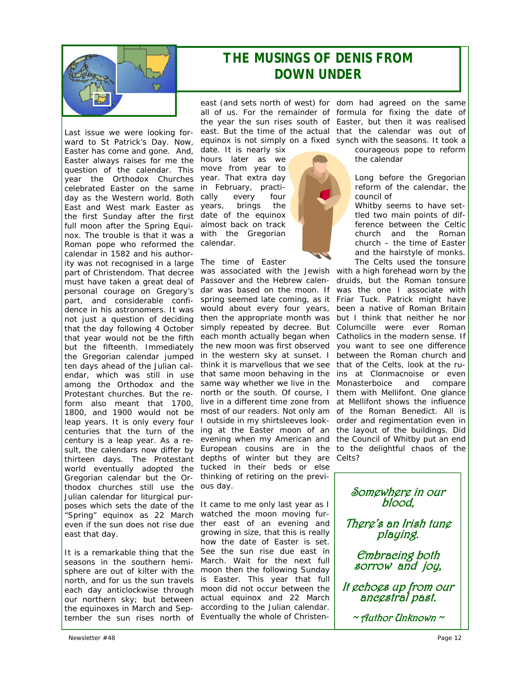

Last issue we were looking forward to St Patrick's Day. Now, Easter has come and gone. And, Easter always raises for me the question of the calendar. This year the Orthodox Churches celebrated Easter on the same day as the Western world. Both East and West mark Easter as the first Sunday after the first full moon after the Spring Equinox. The trouble is that it was a Roman pope who reformed the calendar in 1582 and his authority was not recognised in a large part of Christendom. That decree must have taken a great deal of personal courage on Gregory's part, and considerable confidence in his astronomers. It was not just a question of deciding that the day following 4 October that year would not be the fifth but the fifteenth. Immediately the Gregorian calendar jumped ten days ahead of the Julian calendar, which was still in use among the Orthodox and the Protestant churches. But the reform also meant that 1700, 1800, and 1900 would not be leap years. It is only every four centuries that the turn of the century is a leap year. As a result, the calendars now differ by thirteen days. The Protestant world eventually adopted the Gregorian calendar but the Orthodox churches still use the Julian calendar for liturgical purposes which sets the date of the "Spring" equinox as 22 March even if the sun does not rise due east that day.

It is a remarkable thing that the seasons in the southern hemisphere are out of kilter with the north, and for us the sun travels our northern sky; but between tember the sun rises north of Eventually the whole of Christen-

date. It is nearly six hours later as we move from year to year. That extra day in February, practically every four years, brings the date of the equinox almost back on track with the Gregorian calendar.

The time of Easter

was associated with the Jewish with a high forehead worn by the Passover and the Hebrew calen- druids, but the Roman tonsure dar was based on the moon. If was the one I associate with spring seemed late coming, as it Friar Tuck. Patrick might have would about every four years, then the appropriate month was simply repeated by decree. But Columcille were ever Roman each month actually began when Catholics in the modern sense. If the new moon was first observed in the western sky at sunset. I think it is marvellous that we see that same moon behaving in the same way whether we live in the north or the south. Of course, I live in a different time zone from most of our readers. Not only am I outside in my shirtsleeves looking at the Easter moon of an evening when my American and European cousins are in the depths of winter but they are tucked in their beds or else thinking of retiring on the previous day.

each day anticlockwise through moon did not occur between the the equinoxes in March and Sep-according to the Julian calendar. It came to me only last year as I watched the moon moving further east of an evening and growing in size, that this is really how the date of Easter is set. See the sun rise due east in March. Wait for the next full moon then the following Sunday is Easter. This year that full actual equinox and 22 March

east (and sets north of west) for dom had agreed on the same all of us. For the remainder of formula for fixing the date of the year the sun rises south of Easter, but then it was realised east. But the time of the actual that the calendar was out of equinox is not simply on a fixed synch with the seasons. It took a

courageous pope to reform the calendar

Long before the Gregorian reform of the calendar, the council of

Whitby seems to have settled two main points of difference between the Celtic church and the Roman church – the time of Easter and the hairstyle of monks. The Celts used the tonsure

been a native of Roman Britain but I think that neither he nor you want to see one difference between the Roman church and that of the Celts, look at the ruins at Clonmacnoise or even Monasterboice and compare them with Mellifont. One glance at Mellifont shows the influence of the Roman Benedict. All is order and regimentation even in the layout of the buildings. Did the Council of Whitby put an end to the delightful chaos of the Celts?

Somewhere in our blood,<br>There's an Irish tune

playing.<br>Embracing both<br>sorrow and joy,

It echoes up from our<br>ancestral past.

 $\sim$  Author Unknown  $\sim$ 



*THE MUSINGS OF DENIS FROM DOWN UNDER*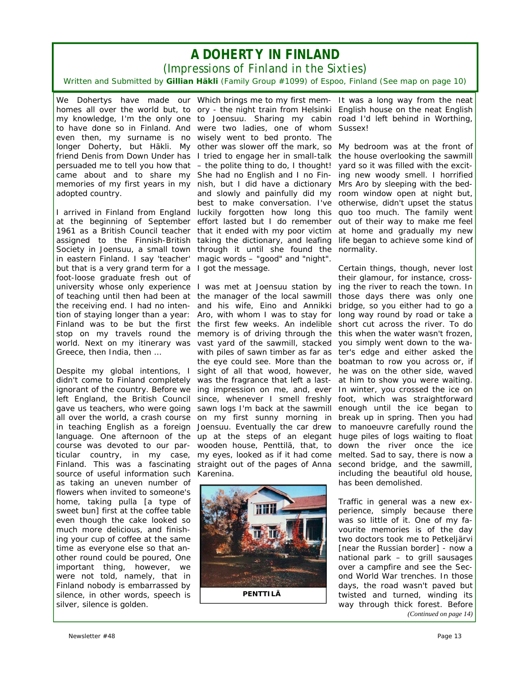## *A DOHERTY IN FINLAND*

*(Impressions of Finland in the Sixties)* 

*Written and Submitted by Gillian Häkli (Family Group #1099) of Espoo, Finland (See map on page 10)* 

came about and to share my She had no English and I no Finadopted country.

but that is a very grand term for a I got the message. foot-loose graduate fresh out of university whose only experience I was met at Joensuu station by stop on my travels round the Greece, then India, then …

Despite my global intentions, I didn't come to Finland completely ignorant of the country. Before we language. One afternoon of the course was devoted to our particular country, in my case, Finland. This was a fascinating source of useful information such Karenina. as taking an uneven number of flowers when invited to someone's home, taking *pulla [a type of sweet bun]* first at the coffee table even though the cake looked so much more delicious, and finishing your cup of coffee at the same time as everyone else so that another round could be poured, One important thing, however, we were not told, namely, that in Finland nobody is embarrassed by silence, in other words, speech is silver, silence is golden.

We Dohertys have made our Which brings me to my first mem- It was a long way from the neat homes all over the world but, to ory - the night train from Helsinki English house on the neat English my knowledge, I'm the only one to Joensuu. Sharing my cabin road I'd left behind in Worthing, to have done so in Finland. And were two ladies, one of whom Sussex! even then, my surname is no wisely went to bed pronto. The longer Doherty, but Häkli. My other was slower off the mark, so My bedroom was at the front of friend Denis from Down Under has I tried to engage her in small-talk the house overlooking the sawmill persuaded me to tell you how that – the polite thing to do, I thought! yard so it was filled with the excitmemories of my first years in my nish, but I did have a dictionary I arrived in Finland from England luckily forgotten how long this quo too much. The family went at the beginning of September effort lasted but I do remember out of their way to make me feel 1961 as a British Council teacher that it ended with my poor victim at home and gradually my new assigned to the Finnish-British taking the dictionary, and leafing life began to achieve some kind of Society in Joensuu, a small town through it until she found the normality. in eastern Finland. I say 'teacher' magic words – "good" and "night". and slowly and painfully did my best to make conversation. I've otherwise, didn't upset the *status* 

of teaching until then had been at the manager of the local sawmill those days there was only one the receiving end. I had no inten- and his wife, Eino and Annikki bridge, so you either had to go a tion of staying longer than a year: Aro, with whom I was to stay for long way round by road or take a Finland was to be but the first the first few weeks. An indelible short cut across the river. To do world. Next on my itinerary was vast yard of the sawmill, stacked you simply went down to the waleft England, the British Council since, whenever I smell freshly foot, which was straightforward gave us teachers, who were going sawn logs I'm back at the sawmill enough until the ice began to all over the world, a crash course on my first sunny morning in break up in spring. Then you had in teaching English as a foreign Joensuu. Eventually the car drew memory is of driving through the this when the water wasn't frozen, with piles of sawn timber as far as ter's edge and either asked the the eye could see. More than the boatman to row you across or, if sight of all that wood, however, he was on the other side, waved was the fragrance that left a last-at him to show you were waiting. ing impression on me, and, ever In winter, you crossed the ice on up at the steps of an elegant wooden house, *Penttilä*, that, to down the river once the ice my eyes, looked as if it had come straight out of the pages of Anna



ing new woody smell. I horrified Mrs Aro by sleeping with the bedroom window open at night but,

Certain things, though, never lost their glamour, for instance, crossing the river to reach the town. In to manoeuvre carefully round the huge piles of logs waiting to float melted. Sad to say, there is now a second bridge, and the sawmill, including the beautiful old house, has been demolished.

Traffic in general was a new experience, simply because there was so little of it. One of my favourite memories is of the day two doctors took me to Petkeljärvi *[near the Russian border]* - now a national park – to grill sausages over a campfire and see the Second World War trenches. In those days, the road wasn't paved but twisted and turned, winding its way through thick forest. Before *(Continued on page 14)*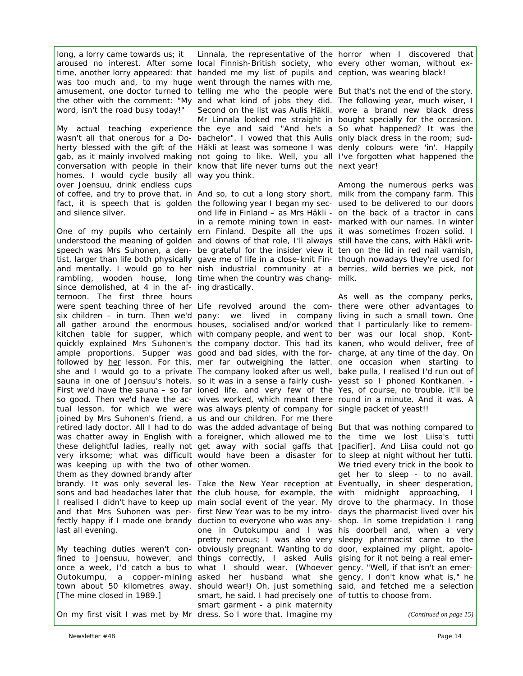word, isn't the road busy today!"

homes. I would cycle busily all way you think. over Joensuu, drink endless cups and silence silver.

since demolished, at 4 in the af-ing drastically. ternoon. The first three hours joined by Mrs Suhonen's friend, a us and our children. For me there was keeping up with the two of other women. them as they downed brandy after last all evening.

*[The mine closed in 1989.]* 

long, a lorry came towards us; it Linnala, the representative of the horror when I discovered that aroused no interest. After some local Finnish-British society, who every other woman, without extime, another lorry appeared: that handed me my list of pupils and ception, was wearing black! was too much and, to my huge went through the names with me, amusement, one doctor turned to telling me who the people were But that's not the end of the story. the other with the comment: "My and what kind of jobs they did. The following year, much wiser, I My actual teaching experience the eye and said "And he's a So what happened? It was the wasn't all that onerous for a Do- bachelor". I vowed that this Aulis only black dress in the room; sudherty blessed with the gift of the Häkli at least was someone I was denly colours were 'in'. Happily gab, as it mainly involved making not going to like. Well, you all I've forgotten what happened the conversation with people in their know that life never turns out the next year! Second on the list was Aulis Häkli. wore a brand new black dress Mr Linnala looked me straight in bought specially for the occasion.

of coffee, and try to prove that, in And so, to cut a long story short, milk from the company farm. This fact, it is speech that is golden the following year I began my sec- used to be delivered to our doors One of my pupils who certainly ern Finland. Despite all the ups it was sometimes frozen solid. I understood the meaning of golden and downs of that role, I'll always still have the cans, with Häkli writspeech was Mrs Suhonen, a den- be grateful for the insider view it ten on the lid in red nail varnish, tist, larger than life both physically gave me of life in a close-knit Fin- though nowadays they're used for and mentally. I would go to her nish industrial community at a berries, wild berries we pick, not rambling, wooden house, long time when the country was chang-milk. ond life in Finland – as Mrs Häkli - on the back of a tractor in cans in a remote mining town in east-marked with our names. In winter

were spent teaching three of her Life revolved around the com-there were other advantages to six children – in turn. Then we'd pany: we lived in company living in such a small town. One all gather around the enormous houses, socialised and/or worked that I particularly like to rememkitchen table for supper, which with company people, and went to ber was our local shop, Kontquickly explained Mrs Suhonen's the company doctor. This had its kanen, who would deliver, free of ample proportions. Supper was good and bad sides, with the for-charge, at any time of the day. On followed by her lesson. For this, mer far outweighing the latter. one occasion when starting to she and I would go to a private The company looked after us well, bake *pulla*, I realised I'd run out of sauna in one of Joensuu's hotels. so it was in a sense a fairly cush- yeast so I phoned Kontkanen. -First we'd have the sauna – so far ioned life, and very few of the Yes, of course, no trouble, it'll be so good. Then we'd have the ac- wives worked, which meant there round in a minute. And it was. A tual lesson, for which we were was always plenty of company for single packet of yeast!! retired lady doctor. All I had to do was the added advantage of being But that was nothing compared to was chatter away in English with a foreigner, which allowed me to the time we lost Liisa's *tutti* these delightful ladies, really not get away with social gaffs that *[pacifier]*. And Liisa could not go very irksome; what was difficult would have been a disaster for to sleep at night without her *tutti*.

brandy. It was only several les- Take the New Year reception at Eventually, in sheer desperation, sons and bad headaches later that the club house, for example, the with midnight approaching, I I realised I didn't have to keep up main social event of the year. My drove to the pharmacy. In those and that Mrs Suhonen was per-first New Year was to be my intro-days the pharmacist lived over his fectly happy if I made one brandy duction to everyone who was any- shop. In some trepidation I rang My teaching duties weren't con- obviously pregnant. Wanting to do door, explained my plight, apolofined to Joensuu, however, and things correctly, I asked Aulis gising for it not being a real emeronce a week, I'd catch a bus to what I should wear. (Whoever gency. "Well, if that isn't an emer-Outokumpu, a copper-mining asked her husband what she gency, I don't know what is," he town about 50 kilometres away. should wear!) Oh, just something said, and fetched me a selection On my first visit I was met by Mr dress. So I wore that. Imagine my one in Outokumpu and I was his doorbell and, when a very pretty nervous; I was also very sleepy pharmacist came to the smart, he said. I had precisely one of *tutti*s to choose from. smart garment - a pink maternity

Among the numerous perks was

As well as the company perks,

We tried every trick in the book to get her to sleep - to no avail.

*(Continued on page 15)*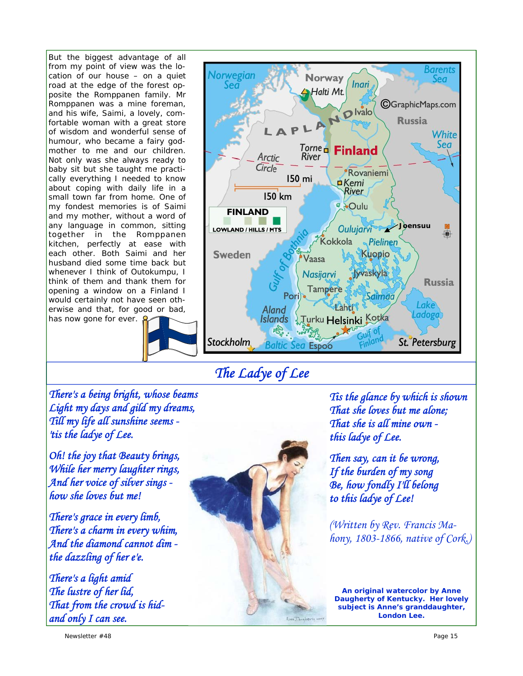But the biggest advantage of all from my point of view was the location of our house – on a quiet road at the edge of the forest opposite the Romppanen family. Mr Romppanen was a mine foreman, and his wife, Saimi, a lovely, comfortable woman with a great store of wisdom and wonderful sense of humour, who became a fairy godmother to me and our children. Not only was she always ready to baby sit but she taught me practically everything I needed to know about coping with daily life in a small town far from home. One of my fondest memories is of Saimi and my mother, without a word of any language in common, sitting together in the Romppanen kitchen, perfectly at ease with each other. Both Saimi and her husband died some time back but whenever I think of Outokumpu, I think of them and thank them for opening a window on a Finland I would certainly not have seen otherwise and that, for good or bad, has now gone for ever.





*The Ladye of Lee* 

*There's a being bright, whose beams Light my days and gild my dreams, Till my life all sunshine seems - 'tis the ladye of Lee.* 

*Oh! the joy that Beauty brings, While her merry laughter rings, And her voice of silver sings how she loves but me!* 

*There's grace in every limb, There's a charm in every whim, And the diamond cannot dim the dazzling of her e'e.* 

*There's a light amid The lustre of her lid, That from the crowd is hidand only I can see.* 



*Tis the glance by which is shown That she loves but me alone; That she is all mine own this ladye of Lee.* 

*Then say, can it be wrong, If the burden of my song Be, how fondly I'll belong to this ladye of Lee!* 

*(Written by Rev. Francis Mahony, 1803-1866, native of Cork.)* 

*An original watercolor by Anne Daugherty of Kentucky. Her lovely subject is Anne's granddaughter, London Lee.*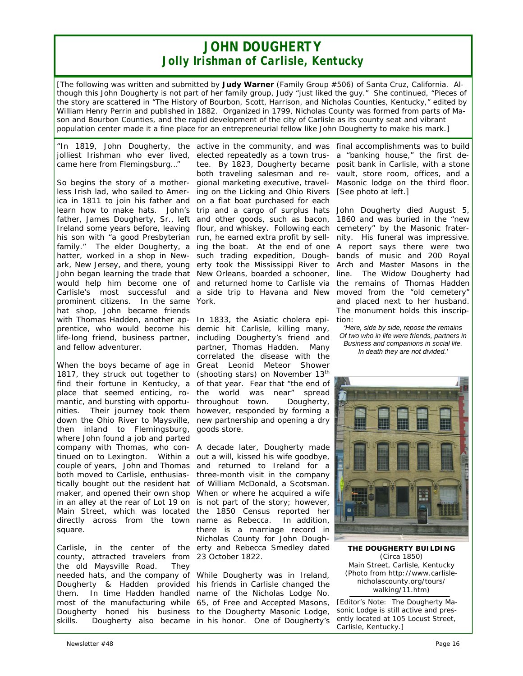## *JOHN DOUGHERTY Jolly Irishman of Carlisle, Kentucky*

*[The following was written and submitted by Judy Warner (Family Group #506) of Santa Cruz, California. Although this John Dougherty is not part of her family group, Judy "just liked the guy." She continued, "Pieces of the story are scattered in "The History of Bourbon, Scott, Harrison, and Nicholas Counties, Kentucky," edited by William Henry Perrin and published in 1882. Organized in 1799, Nicholas County was formed from parts of Mason and Bourbon Counties, and the rapid development of the city of Carlisle as its county seat and vibrant population center made it a fine place for an entrepreneurial fellow like John Dougherty to make his mark.]* 

*jolliest Irishman who ever lived, came here from Flemingsburg…"* 

So begins the story of a motherless Irish lad, who sailed to America in 1811 to join his father and learn how to make hats. John's father, James Dougherty, Sr., left Ireland some years before, leaving his son with "a good Presbyterian family." The elder Dougherty, a hatter, worked in a shop in Newark, New Jersey, and there, young John began learning the trade that would help him become one of Carlisle's most successful and prominent citizens. In the same hat shop, John became friends with Thomas Hadden, another ap-In 1833, the Asiatic cholera epiprentice, who would become his demic hit Carlisle, killing many, life-long friend, business partner, including Dougherty's friend and and fellow adventurer.

When the boys became of age in Great Leonid Meteor Shower 1817, they struck out together to find their fortune in Kentucky, a place that seemed enticing, ro-the world was near" spread mantic, and bursting with opportunities. Their journey took them however, responded by forming a down the Ohio River to Maysville, new partnership and opening a dry then inland to Flemingsburg, goods store. where John found a job and parted company with Thomas, who con-A decade later, Dougherty made tinued on to Lexington. Within a out a will, kissed his wife goodbye, couple of years, John and Thomas and returned to Ireland for a both moved to Carlisle, enthusias-three-month visit in the company tically bought out the resident hat of William McDonald, a Scotsman. maker, and opened their own shop When or where he acquired a wife in an alley at the rear of Lot 19 on is not part of the story; however, Main Street, which was located the 1850 Census reported her directly across from the town name as Rebecca. In addition, square.

Carlisle, in the center of the erty and Rebecca Smedley dated county, attracted travelers from 23 October 1822. the old Maysville Road. They

*"In 1819, John Dougherty, the*  active in the community, and was final accomplishments was to build elected repeatedly as a town trustee. By 1823, Dougherty became posit bank in Carlisle, with a stone both traveling salesman and regional marketing executive, traveling on the Licking and Ohio Rivers *[See photo at left.]*  on a flat boat purchased for each trip and a cargo of surplus hats John Dougherty died August 5, and other goods, such as bacon, flour, and whiskey. Following each cemetery" by the Masonic fraterrun, he earned extra profit by selling the boat. At the end of one A report says there were two such trading expedition, Dougherty took the Mississippi River to Arch and Master Masons in the New Orleans, boarded a schooner, line. The Widow Dougherty had and returned home to Carlisle via the remains of Thomas Hadden a side trip to Havana and New moved from the "old cemetery" York.

> partner, Thomas Hadden. Many correlated the disease with the (shooting stars) on November 13<sup>th</sup> of that year. Fear that "the end of throughout town. Dougherty,

> there is a marriage record in Nicholas County for John Dough-

needed hats, and the company of While Dougherty was in Ireland, Dougherty & Hadden provided his friends in Carlisle changed the them. In time Hadden handled name of the Nicholas Lodge No. most of the manufacturing while 65, of Free and Accepted Masons, Dougherty honed his business to the Dougherty Masonic Lodge, skills. Dougherty also became in his honor. One of Dougherty's

a "banking house," the first devault, store room, offices, and a Masonic lodge on the third floor.

1860 and was buried in the "new nity. His funeral was impressive. bands of music and 200 Royal and placed next to her husband. The monument holds this inscription:

*'Here, side by side, repose the remains Of two who in life were friends, partners in Business and companions in social life. In death they are not divided.'*



**THE DOUGHERTY BUILDING**  (Circa 1850) Main Street, Carlisle, Kentucky *(Photo from http://www.carlislenicholascounty.org/tours/ walking/11.htm)*

*[Editor's Note: The Dougherty Masonic Lodge is still active and presently located at 105 Locust Street, Carlisle, Kentucky.]*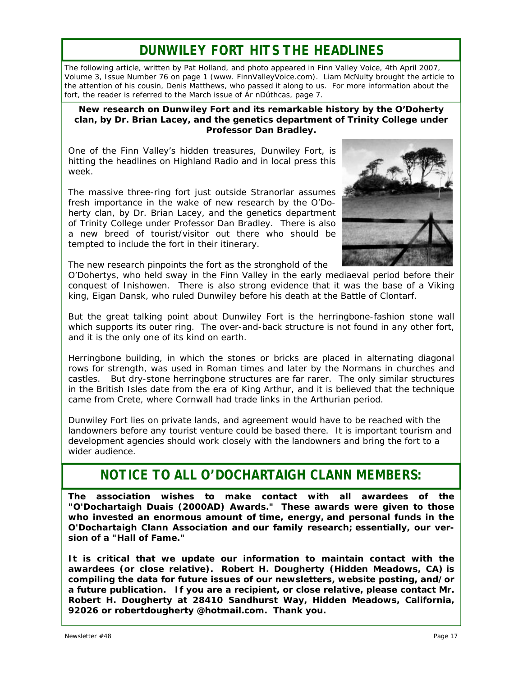# *DUNWILEY FORT HITS THE HEADLINES*

*The following article, written by Pat Holland, and photo appeared in Finn Valley Voice, 4th April 2007, Volume 3, Issue Number 76 on page 1 (www. FinnValleyVoice.com). Liam McNulty brought the article to the attention of his cousin, Denis Matthews, who passed it along to us. For more information about the fort, the reader is referred to the March issue of Ár nDúthcas, page 7.* 

## *New research on Dunwiley Fort and its remarkable history by the O'Doherty clan, by Dr. Brian Lacey, and the genetics department of Trinity College under Professor Dan Bradley.*

One of the Finn Valley's hidden treasures, Dunwiley Fort, is hitting the headlines on Highland Radio and in local press this week.

The massive three-ring fort just outside Stranorlar assumes fresh importance in the wake of new research by the O'Doherty clan, by Dr. Brian Lacey, and the genetics department of Trinity College under Professor Dan Bradley. There is also a new breed of tourist/visitor out there who should be tempted to include the fort in their itinerary.



The new research pinpoints the fort as the stronghold of the

O'Dohertys, who held sway in the Finn Valley in the early mediaeval period before their conquest of Inishowen. There is also strong evidence that it was the base of a Viking king, Eigan Dansk, who ruled Dunwiley before his death at the Battle of Clontarf.

But the great talking point about Dunwiley Fort is the herringbone-fashion stone wall which supports its outer ring. The over-and-back structure is not found in any other fort, and it is the only one of its kind on earth.

Herringbone building, in which the stones or bricks are placed in alternating diagonal rows for strength, was used in Roman times and later by the Normans in churches and castles. But dry-stone herringbone structures are far rarer. The only similar structures in the British Isles date from the era of King Arthur, and it is believed that the technique came from Crete, where Cornwall had trade links in the Arthurian period.

Dunwiley Fort lies on private lands, and agreement would have to be reached with the landowners before any tourist venture could be based there. It is important tourism and development agencies should work closely with the landowners and bring the fort to a wider audience.

# *NOTICE TO ALL O'DOCHARTAIGH CLANN MEMBERS:*

**The association wishes to make contact with all awardees of the "O'Dochartaigh Duais (2000AD) Awards." These awards were given to those who invested an enormous amount of time, energy, and personal funds in the O'Dochartaigh Clann Association and our family research; essentially, our version of a "Hall of Fame."** 

**It is critical that we update our information to maintain contact with the awardees (or close relative). Robert H. Dougherty (Hidden Meadows, CA) is compiling the data for future issues of our newsletters, website posting, and/or a future publication. If you are a recipient, or close relative, please contact Mr. Robert H. Dougherty at 28410 Sandhurst Way, Hidden Meadows, California, 92026 or robertdougherty @hotmail.com. Thank you.**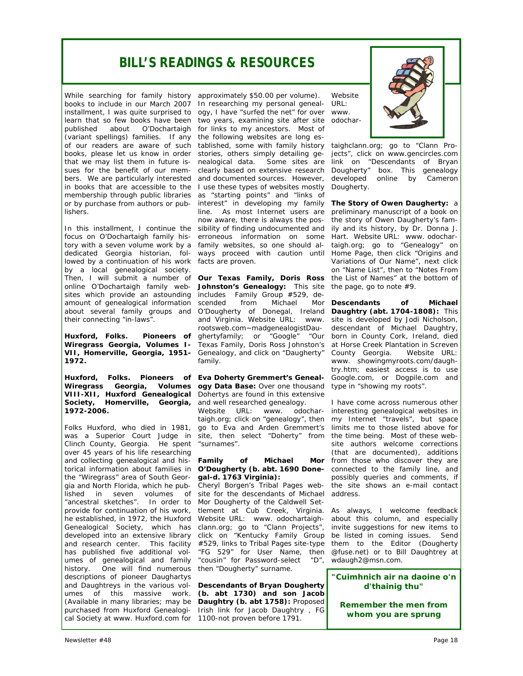# *BILL'S READINGS & RESOURCES*

While searching for family history approximately \$50.00 per volume). books to include in our March 2007 (variant spellings) families. If any the following websites are long esbooks, please let us know in order stories, others simply detailing gelishers.

In this installment, I continue the sibility of finding undocumented and focus on O'Dochartaigh family his-erroneous information on some tory with a seven volume work by a family websites, so one should aldedicated Georgia historian, fol-ways proceed with caution until lowed by a continuation of his work facts are proven. by a local genealogical society. sites which provide an astounding includes Family Group #529, deamount of genealogical information scended from Michael Mor about several family groups and their connecting "in-laws".

**Huxford, Folks. 1972.** 

**Huxford, Folks.** *Pioneers of Eva Doherty Gremmert's Geneal-***Society, Homerville, Georgia,**  and well researched genealogy. **1972-2006.** 

Folks Huxford, who died in 1981, go to Eva and Arden Gremmert's Clinch County, Georgia. He spent "surnames". over 45 years of his life researching and collecting genealogical and his- Family torical information about families in *O'Dougherty (b. abt. 1690 Done*the "Wiregrass" area of South Georgia and North Florida, which he pub-Cheryl Borgen's Tribal Pages web-"ancestral sketches". In order to Mor Dougherty of the Caldwell Sethe established, in 1972, the Huxford Website URL: www. odochartaigh-Genealogical Society, which has clann.org; go to "Clann Projects", has published five additional vol-"FG 529" for User Name, then history. One will find numerous then "Dougherty" surname. descriptions of pioneer Daughartys and Daughtreys in the various vol-*Descendants of Bryan Dougherty*  umes of this massive work. *(b. abt 1730) and son Jacob*  (Available in many libraries; may be *Daughtry (b. abt 1758):* Proposed purchased from Huxford Genealogi-Irish link for Jacob Daughtry , FG cal Society at www. Huxford.com for 1100-not proven before 1791.

installment, I was quite surprised to ogy, I have "surfed the net" for over learn that so few books have been two years, examining site after site published about O'Dochartaigh for links to my ancestors. Most of of our readers are aware of such tablished, some with family history that we may list them in future is-nealogical data. Some sites are sues for the benefit of our mem-clearly based on extensive research bers. We are particularly interested and documented sources. However, in books that are accessible to the I use these types of websites mostly membership through public libraries as "starting points" and "links of or by purchase from authors or pub-interest" in developing my family In researching my personal genealline. As most Internet users are now aware, there is always the pos-

Then, I will submit a number of *Our Texas Family, Doris Ross*  the List of Names" at the bottom of online O'Dochartaigh family web- **Johnston's Genealogy:** This site the page, go to note #9. Wiregrass Georgia, Volumes I- Texas Family, Doris Ross Johnston's at Horse Creek Plantation in Screven *VII,* **Homerville, Georgia, 1951-** Genealogy, and click on "Daugherty" O'Dougherty of Donegal, Ireland and Virginia. Website URL: www. rootsweb.com~madgenealogistDaughertyfamily; or "Google" "Our born in County Cork, Ireland, died family.

**Wiregrass Georgia, Volumes ogy Data Base:** Over one thousand type in "showing my roots". *VIII-XII,* **Huxford Genealogical**  Dohertys are found in this extensive

was a Superior Court Judge in site, then select "Doherty" from the time-being. Most-of-these-web-Website URL: www. odochartaigh.org; click on "genealogy", then

## of Michael *gal-d. 1763 Virginia):*

lished in seven volumes of site-for-the-descendants-of-Michael address. provide for continuation of his work, tlement at Cub Creek, Virginia. As always, I welcome feedback developed into an extensive library click on "Kentucky Family Group be listed in coming issues. Send and research center. This facility #529, links to Tribal Pages site-type them to the Editor (Dougherty umes of genealogical and family "cousin" for Password-select "D", wdaugh2@msn.com.

Website URL: www. odochar-



taighclann.org; go to "Clann Projects", click on www.gencircles.com link on "Descendants of Bryan Dougherty" box. This genealogy developed online by Cameron Dougherty.

*The Story of Owen Daugherty:* a preliminary manuscript of a book on the story of Owen Daugherty's family and its history, by Dr. Donna J. Hart. Website URL: www. odochartaigh.org; go to "Genealogy" on Home Page, then click "Origins and Variations of Our Name", next click on "Name List", then to "Notes From

*Descendants of Michael Daughtry (abt. 1704-1808):* This site is developed by Jodi Nicholson, descendant of Michael Daughtry, County Georgia. Website URL: www. showingmyroots.com/daughtry.htm; easiest access is to use Google.com, or Dogpile.com and

I have come across numerous other interesting genealogical websites in my Internet "travels", but space limits me to those listed above for site authors welcome corrections (that are documented), additions Mor from those who discover they are connected to the family line, and possibly queries and comments, if the site shows an e-mail contact

> about this column, and especially invite suggestions for new items to @fuse.net) or to Bill Daughtrey at

*"Cuimhnich air na daoine o'n d'thainig thu"* 

*Remember the men from whom you are sprung*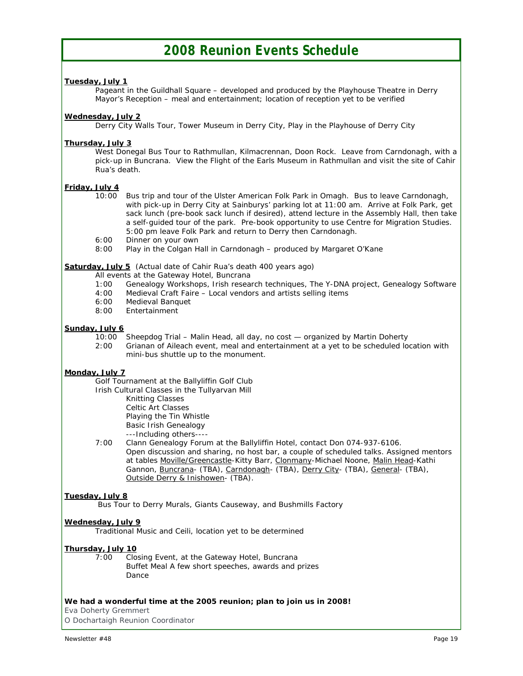## *2008 Reunion Events Schedule*

## *Tuesday, July 1*

 Pageant in the Guildhall Square – developed and produced by the Playhouse Theatre in Derry Mayor's Reception – meal and entertainment; location of reception yet to be verified

## *Wednesday, July 2*

Derry City Walls Tour, Tower Museum in Derry City, Play in the Playhouse of Derry City

## *Thursday, July 3*

West Donegal Bus Tour to Rathmullan, Kilmacrennan, Doon Rock. Leave from Carndonagh, with a pick-up in Buncrana. View the Flight of the Earls Museum in Rathmullan and visit the site of Cahir Rua's death.

## *Friday, July 4*

- 10:00 Bus trip and tour of the Ulster American Folk Park in Omagh. Bus to leave Carndonagh, with pick-up in Derry City at Sainburys' parking lot at 11:00 am. Arrive at Folk Park, get sack lunch (pre-book sack lunch if desired), attend lecture in the Assembly Hall, then take a self-guided tour of the park. Pre-book opportunity to use Centre for Migration Studies. 5:00 pm leave Folk Park and return to Derry then Carndonagh.
- 6:00 Dinner on your own<br>8:00 Play in the Colgan H
- Play in the Colgan Hall in Carndonagh produced by Margaret O'Kane

## *Saturday, July 5* (*Actual date of Cahir Rua's death 400 years ago*)

- All events at the Gateway Hotel, Buncrana
- 1:00 Genealogy Workshops, Irish research techniques, The Y-DNA project, Genealogy Software
- 4:00 Medieval Craft Faire Local vendors and artists selling items
- 6:00 Medieval Banquet
- **Entertainment**

## *Sunday, July 6*

- 10:00 Sheepdog Trial Malin Head, all day, no cost organized by Martin Doherty
- 2:00 Grianan of Aileach event, meal and entertainment at a yet to be scheduled location with mini-bus shuttle up to the monument.

## *Monday, July 7*

Golf Tournament at the Ballyliffin Golf Club

Irish Cultural Classes in the Tullyarvan Mill

 Knitting Classes Celtic Art Classes

Playing the Tin Whistle

Basic Irish Genealogy

---Including others----

 7:00 Clann Genealogy Forum at the Ballyliffin Hotel, contact Don 074-937-6106. Open discussion and sharing, no host bar, a couple of scheduled talks. Assigned mentors at tables Moville/Greencastle-Kitty Barr, Clonmany-Michael Noone, Malin Head-Kathi Gannon, Buncrana- (TBA), Carndonagh- (TBA), Derry City- (TBA), General- (TBA), Outside Derry & Inishowen- (TBA).

## *Tuesday, July 8*

Bus Tour to Derry Murals, Giants Causeway, and Bushmills Factory

## *Wednesday, July 9*

Traditional Music and Ceili, location yet to be determined

## *Thursday, July 10*

 7:00 Closing Event, at the Gateway Hotel, Buncrana Buffet Meal A few short speeches, awards and prizes Dance

## *We had a wonderful time at the 2005 reunion; plan to join us in 2008!*

Eva Doherty Gremmert O Dochartaigh Reunion Coordinator